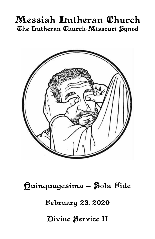# Messiah Lutheran Church The Itutheran Church-Missouri Synod



Quinquagesima - Sola Fide

**February 23, 2020** 

Divine Service II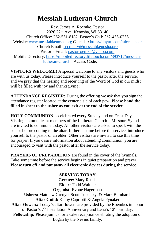# **Messiah Lutheran Church**

Rev. James A. Roemke, Pastor 2026 22nd Ave. Kenosha, WI 53140 Church Office: 262-551-8182 Pastor's Cell: 262-455-0255 Website: [www.messiahkenosha.org](http://www.messiahkenosha.org/) Calendar: <https://tinyurl.com/mlccalendar> Church Email: [secretary@messiahkenosha.org](https://d.docs.live.net/fdeed90a8019e9e6/Documents/2019%20PDF%20Bulletins/secretary@messiahkenosha.org) Pastor's Email: [pastorroemke@yahoo.com](mailto:pastorroemke@yahoo.com) Mobile Directory: [https://mobiledirectory.lifetouch.com/393717/messiah](https://mobiledirectory.lifetouch.com/393717/messiah-lutheran-church)[lutheran-church](https://mobiledirectory.lifetouch.com/393717/messiah-lutheran-church) Access Code:

**VISITORS WELCOME!** A special welcome to any visitors and guests who are with us today. Please introduce yourself to the pastor after the service, and we pray that the hearing and receiving of the Word of God in our midst will be filled with joy and thanksgiving!

**ATTENDANCE REGISTER:** During the offering we ask that you sign the attendance register located at the center aisle of each pew. **Please hand the filled in sheet to the usher as you exit at the end of the service.**

**HOLY COMMUNION** is celebrated every Sunday and on Feast Days. Visiting communicant members of the Lutheran Church—Missouri Synod are invited to commune today. All other visitors are asked to speak with the pastor before coming to the altar. If there is time before the service, introduce yourself to the pastor or an elder. Other visitors are invited to use this time for prayer. If you desire information about attending communion, you are encouraged to visit with the pastor after the service today.

**PRAYERS OF PREPARATION** are found in the cover of the hymnals. Take some time before the service begins in quiet preparation and prayer. **Please turn off and put away all electronic devices during the service.**

**+SERVING TODAY+ Greeter:** Mary Rusch **Elder:** Todd Walther **Organist:** Evone Hagerman **Ushers:** Matthew Grenyo, Scott Tobalsky, & Mark Bernhardt **Altar Guild:** Kathy Capriotti & Angela Pynaker **Altar Flowers:** Today's altar flowers are provided by the Roemkes in honor of Pastor's 7<sup>th</sup> Installation Anniversary and Lena's 12<sup>th</sup> birthday. **Fellowship:** Please join us for a cake reception celebrating the adoption of Logan by the Nevius family.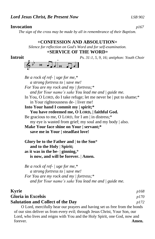#### **Invocation** *p167*

*The sign of the cross may be made by all in remembrance of their Baptism.*

#### **+CONFESSION AND ABSOLUTION+**

*Silence for reflection on God's Word and for self-examination.*

## **+SERVICE OF THE WORD+**



*Be a rock of ref- | uge for me,\* a strong fortress to | save me! For You are my rock and my | fortress;\* and for Your name's sake You lead me and | guide me.* In You, O LORD, do I take refuge; let me never be | put to shame;\* in Your righteousness de- | liver me! **Into Your hand I commit my | spirit;\* You have redeemed me, O LORD, | faithful God.** Be gracious to me, O LORD, for I am | in distress;\* my eye is wasted from grief; my soul and my body | also. **Make Your face shine on Your | servant;\* save me in Your | steadfast love! Glory be to the Father and** | **to the Son**\*  **and to the Holy** | **Spirit; as it was in the be-** | **ginning,**\*  **is now, and will be forever.** | **Amen.**

*Be a rock of ref- | uge for me,\* a strong fortress to | save me! For You are my rock and my | fortress;\* and for Your name's sake You lead me and | guide me.*

## **Kyrie** *p168* **Gloria in Excelsis** *p170* **Salutation and Collect of the Day** *p172*

O Lord, mercifully hear our prayers and having set us free from the bonds of our sins deliver us from every evil; through Jesus Christ, Your Son, our Lord, who lives and reigns with You and the Holy Spirit, one God, now and forever. **Amen.**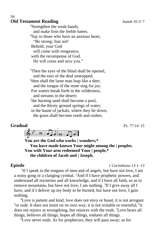## **Old Testament Reading** *Isaiah 35:3–7*

*Sit*

<sup>3</sup>Strengthen the weak hands, and make firm the feeble knees. <sup>4</sup>Say to those who have an anxious heart, "Be strong; fear not! Behold, your God will come with vengeance, with the recompense of God. He will come and save you."

<sup>5</sup>Then the eyes of the blind shall be opened, and the ears of the deaf unstopped; <sup>6</sup> then shall the lame man leap like a deer, and the tongue of the mute sing for joy. For waters break forth in the wilderness, and streams in the desert; <sup>7</sup>the burning sand shall become a pool, and the thirsty ground springs of water; in the haunt of jackals, where they lie down,

the grass shall become reeds and rushes.

## **Gradual** *Ps. 77:14–15*

 $\overrightarrow{0}$ 

**You are the God who works | wonders;\* You have made known Your might among the | peoples. You with Your arm redeemed Your | people,\* the children of Jacob and | Joseph.**

**Epistle** *1 Corinthians 13:1–13*

<sup>1</sup>If I speak in the tongues of men and of angels, but have not love, I am a noisy gong or a clanging cymbal. <sup>2</sup>And if I have prophetic powers, and understand all mysteries and all knowledge, and if I have all faith, so as to remove mountains, but have not love, I am nothing.  ${}^{3}$ If I give away all I have, and if I deliver up my body to be burned, but have not love, I gain nothing.

<sup>4</sup>Love is patient and kind; love does not envy or boast; it is not arrogant <sup>5</sup> or rude. It does not insist on its own way; it is not irritable or resentful; <sup>6</sup>it does not rejoice at wrongdoing, but rejoices with the truth. <sup>7</sup>Love bears all things, believes all things, hopes all things, endures all things.

 ${}^{8}$ Love never ends. As for prophecies, they will pass away; as for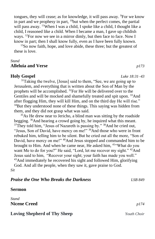tongues, they will cease; as for knowledge, it will pass away. <sup>9</sup>For we know in part and we prophesy in part,  $^{10}$ but when the perfect comes, the partial will pass away. <sup>11</sup>When I was a child, I spoke like a child, I thought like a child, I reasoned like a child. When I became a man, I gave up childish ways. <sup>12</sup>For now we see in a mirror dimly, but then face to face. Now I know in part; then I shall know fully, even as I have been fully known.

<sup>13</sup>So now faith, hope, and love abide, these three; but the greatest of these is love.

#### *Stand*

#### **Alleluia and Verse** *p173*

#### **Holy Gospel** *Luke 18:31–43*

<sup>31</sup>Taking the twelve, [Jesus] said to them, "See, we are going up to Jerusalem, and everything that is written about the Son of Man by the prophets will be accomplished. <sup>32</sup>For He will be delivered over to the Gentiles and will be mocked and shamefully treated and spit upon. <sup>33</sup>And after flogging Him, they will kill Him, and on the third day He will rise." <sup>34</sup>But they understood none of these things. This saying was hidden from them, and they did not grasp what was said.

<sup>35</sup>As He drew near to Jericho, a blind man was sitting by the roadside begging. <sup>36</sup>And hearing a crowd going by, he inquired what this meant.  $37$ They told him, "Jesus of Nazareth is passing by."  $38$ And he cried out, "Jesus, Son of David, have mercy on me!" <sup>39</sup>And those who were in front rebuked him, telling him to be silent. But he cried out all the more, "Son of David, have mercy on me!" <sup>40</sup>And Jesus stopped and commanded him to be brought to Him. And when he came near, He asked him, <sup>41</sup>"What do you want Me to do for you?" He said, "Lord, let me recover my sight." <sup>42</sup>And Jesus said to him, "Recover your sight; your faith has made you well." <sup>43</sup>And immediately he recovered his sight and followed Him, glorifying God. And all the people, when they saw it, gave praise to God. *Sit*

| <b>Praise the One Who Breaks the Darkness</b> | LSB 849 |
|-----------------------------------------------|---------|
| <b>Sermon</b>                                 |         |

*Stand* **Nicene Creed** *p174*

#### **Loving Shepherd of Thy Sheep** *Youth Choir*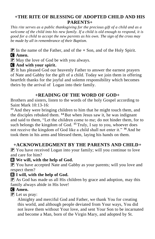## **+THE RITE OF BLESSING OF ADOPTED CHILD AND HIS PARENTS+**

*This rite serves as a public thanksgiving for the precious gift of a child and as a welcome of the child into his new family. If a child is old enough to respond, it is good for a child to accept the new parents as his own. The sign of the cross may be made by all in remembrance of their Baptism.*

P In the name of the Father, and of the **+** Son, and of the Holy Spirit. C **Amen.**

 $\bf{P}$  May the love of God be with you always.

C **And with your spirit.**

P It has pleased God our heavenly Father to answer the earnest prayers of Nate and Gabby for the gift of a child. Today we join them in offering heartfelt thanks for the joyful and solemn responsibility which becomes theirs by the arrival of Logan into their family.

## **+READING OF THE WORD OF GOD+**

Brothers and sisters, listen to the words of the holy Gospel according to Saint Mark 10:13-16:

**<sup>13</sup>** And they were bringing children to him that he might touch them, and the disciples rebuked them. **<sup>14</sup>** But when Jesus saw it, he was indignant and said to them, "Let the children come to me; do not hinder them, for to such belongs the kingdom of God. **<sup>15</sup>** Truly, I say to you, whoever does not receive the kingdom of God like a child shall not enter it." **<sup>16</sup>** And he took them in his arms and blessed them, laying his hands on them.

## **+ACKNOWLEDGMENT BY THE PARENTS AND CHILD+**

 $\boxed{\mathbf{P}}$  You have received Logan into your family; will you continue to love and care for him?

## R **We will, with the help of God.**

**P** You have accepted Nate and Gabby as your parents; will you love and respect them?

## R **I will, with the help of God.**

 $\mathbf{P}$  As God has made us all His children by grace and adoption, may this family always abide in His love!

## C **Amen.**

 $\left[\mathbf{P}\right]$  Let us pray:

Almighty and merciful God and Father, we thank You for creating this world, and although people deviated from Your ways, You did not leave them without Your love, and sent Your Son to be incarnated and become a Man, born of the Virgin Mary, and adopted by St.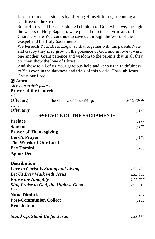Joseph, to redeem sinners by offering Himself for us, becoming a sacrifice on the Cross.

So in Him we all became adopted children of God, when we, through the waters of Holy Baptism, were placed into the salvific ark of the Church, where You continue to save us through the Word of the Gospel and the Holy Sacraments.

We beseech You: Bless Logan so that together with his parents Nate and Gabby they may grow in the presence of God and in love toward one another. Grant patience and wisdom to the parents that in all they do, they show the love of Christ.

And show to all of us Your gracious help and keep us in faithfulness to You even in the darkness and trials of this world. Through Jesus Christ our Lord.

## C **Amen.**

*All return to their places.*

**Prayer of the Church**

| ٠.                                  |  |
|-------------------------------------|--|
| I<br>۰.<br>٧<br>I<br>۰.<br>v<br>. . |  |

| <b>Offering</b>                             | In The Shadow of Your Wings         | <b>MLC</b> Choir |
|---------------------------------------------|-------------------------------------|------------------|
| <b>Stand</b>                                |                                     |                  |
| <b>Offertory</b>                            |                                     | p176             |
|                                             | +SERVICE OF THE SACRAMENT+          |                  |
| <b>Preface</b>                              |                                     | <i>p177</i>      |
| <b>Sanctus</b>                              |                                     | p178             |
| <b>Prayer of Thanksgiving</b>               |                                     |                  |
| <b>Lord's Prayer</b>                        |                                     | p179             |
| The Words of Our Lord                       |                                     |                  |
| <b>Pax Domini</b>                           |                                     | p180             |
| <b>Agnus Dei</b>                            |                                     |                  |
| Sit                                         |                                     |                  |
| <b>Distribution</b>                         |                                     |                  |
|                                             | Love in Christ Is Strong and Living | LSB 706          |
| Let Us Ever Walk with Jesus                 | LSB 685                             |                  |
| <b>Praise the Almighty</b>                  |                                     | LSB 797          |
| <b>Sing Praise to God, the Highest Good</b> | <b>LSB 819</b>                      |                  |
| Stand                                       |                                     |                  |
| <b>Nunc Dimittis</b>                        |                                     | p182             |
|                                             | <b>Post-Communion Collect</b>       | p183             |
| <b>Benediction</b>                          |                                     |                  |
|                                             |                                     |                  |

*Stand Up, Stand Up for Jesus LSB 660*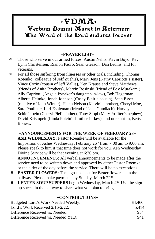## $\mathbf{F} \mathbf{W} \mathbf{D} \mathbf{M} \mathbf{A}$ Verbum Domini Manet in Aeternum The Word of the Liord endures forever

## **+PRAYER LIST+**

- Those who serve in our armed forces: Austin Nehls, Kevin Boyd, Rev. Lynn Christensen, Rianon Padro, Sean Gleason, Dan Bruins, and for veterans.
- $\mathbb F$  For all those suffering from illnesses or other trials, including: Thomas Kotenko (colleague of Jeff Zuehls), Mary Jens (Kathy Capriotti's sister), Vince Cozin (cousin of Jeff Vallis), Ken Krause and Steve Matthews (friends of Anita Brothers), Marcin Rosinski (friend of Bev Murakami), Ally Capriotti (Angela Pynaker's daughter-in-law), Bob Hagerman, Alberta Helmke, Jonah Johnson (Casey Blair's cousin), Sean Esser (relative of John Winter), Helen Nelson (Kelvin's mother), Cheryl Moe, Sara Poullette, Lori Eshleman (friend of Jane Gundlach), Harvey Schiefelbein (Cheryl Piel's father), Tony Sippl (Mary Jo Jiter's nephew), David Kristopeit (Linda Polcin's brother-in-law), and our shut-in, Betty **Boness**

### **+ANNOUNCEMENTS FOR THE WEEK OF FEBRUARY 23+**

- **ASH WEDNESDAY:** Pastor Roemke will be available for the Imposition of Ashes Wednesday, February  $26<sup>th</sup>$  from 7:00 am to 9:00 am. Please speak to him if that time does not work for you. Ash Wednesday Divine Service will be that evening at 6:30 pm.
- **ANNOUNCEMENTS:** All verbal announcements to be made after the service need to be written down and approved by either Pastor Roemke or the elder of the day before the service. There will be no exceptions.
- **EASTER FLOWERS:** The sign-up sheet for Easter flowers is in the hallway. Please make payments by Sunday, March 22<sup>nd</sup>.
- **EXECUTE SOUP SUPPERS** begin Wednesday, March 4<sup>th</sup>. Use the signup sheets in the hallway to share what you plan to bring.

#### **+CONTRIBUTIONS+**

| Budgeted Lord's Work Needed Weekly: | \$4.460 |
|-------------------------------------|---------|
| Lord's Work Received $2/16-2/22$ :  | 5.414   |
| Difference Received vs. Needed:     | $+954$  |
| Difference Received vs. Needed YTD: | $+941$  |